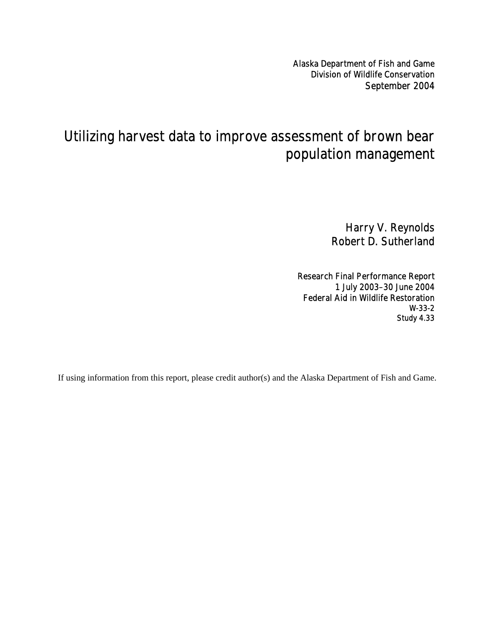Alaska Department of Fish and Game Division of Wildlife Conservation September 2004

# Utilizing harvest data to improve assessment of brown bear population management

Harry V. Reynolds Robert D. Sutherland

Research Final Performance Report 1 July 2003–30 June 2004 Federal Aid in Wildlife Restoration W-33-2 Study 4.33

If using information from this report, please credit author(s) and the Alaska Department of Fish and Game.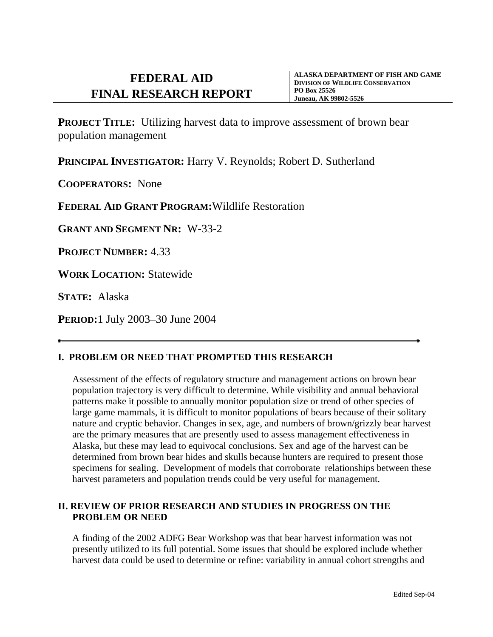**PROJECT TITLE:** Utilizing harvest data to improve assessment of brown bear population management

PRINCIPAL **INVESTIGATOR:** Harry V. Reynolds; Robert D. Sutherland

**COOPERATORS:** None

**FEDERAL AID GRANT PROGRAM:**Wildlife Restoration

**GRANT AND SEGMENT NR:** W-33-2

**PROJECT NUMBER:** 4.33

**WORK LOCATION:** Statewide

**STATE:** Alaska

**PERIOD:**1 July 2003–30 June 2004

# **I. PROBLEM OR NEED THAT PROMPTED THIS RESEARCH**

Assessment of the effects of regulatory structure and management actions on brown bear population trajectory is very difficult to determine. While visibility and annual behavioral patterns make it possible to annually monitor population size or trend of other species of large game mammals, it is difficult to monitor populations of bears because of their solitary nature and cryptic behavior. Changes in sex, age, and numbers of brown/grizzly bear harvest are the primary measures that are presently used to assess management effectiveness in Alaska, but these may lead to equivocal conclusions. Sex and age of the harvest can be determined from brown bear hides and skulls because hunters are required to present those specimens for sealing. Development of models that corroborate relationships between these harvest parameters and population trends could be very useful for management.

# **II. REVIEW OF PRIOR RESEARCH AND STUDIES IN PROGRESS ON THE PROBLEM OR NEED**

A finding of the 2002 ADFG Bear Workshop was that bear harvest information was not presently utilized to its full potential. Some issues that should be explored include whether harvest data could be used to determine or refine: variability in annual cohort strengths and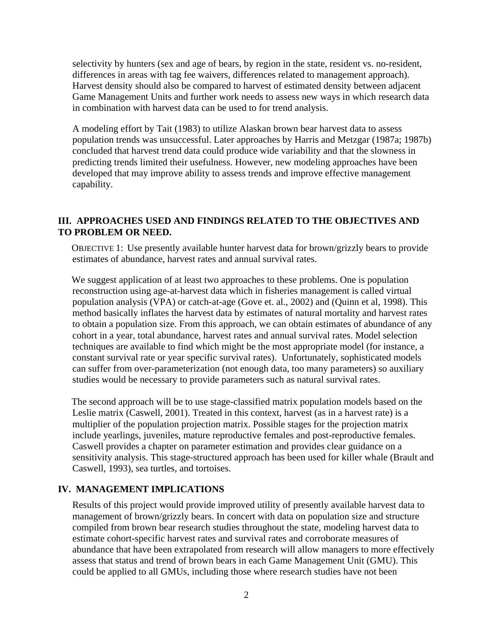selectivity by hunters (sex and age of bears, by region in the state, resident vs. no-resident, differences in areas with tag fee waivers, differences related to management approach). Harvest density should also be compared to harvest of estimated density between adjacent Game Management Units and further work needs to assess new ways in which research data in combination with harvest data can be used to for trend analysis.

A modeling effort by Tait (1983) to utilize Alaskan brown bear harvest data to assess population trends was unsuccessful. Later approaches by Harris and Metzgar (1987a; 1987b) concluded that harvest trend data could produce wide variability and that the slowness in predicting trends limited their usefulness. However, new modeling approaches have been developed that may improve ability to assess trends and improve effective management capability.

# **III. APPROACHES USED AND FINDINGS RELATED TO THE OBJECTIVES AND TO PROBLEM OR NEED.**

OBJECTIVE 1: Use presently available hunter harvest data for brown/grizzly bears to provide estimates of abundance, harvest rates and annual survival rates.

We suggest application of at least two approaches to these problems. One is population reconstruction using age-at-harvest data which in fisheries management is called virtual population analysis (VPA) or catch-at-age (Gove et. al., 2002) and (Quinn et al, 1998). This method basically inflates the harvest data by estimates of natural mortality and harvest rates to obtain a population size. From this approach, we can obtain estimates of abundance of any cohort in a year, total abundance, harvest rates and annual survival rates. Model selection techniques are available to find which might be the most appropriate model (for instance, a constant survival rate or year specific survival rates). Unfortunately, sophisticated models can suffer from over-parameterization (not enough data, too many parameters) so auxiliary studies would be necessary to provide parameters such as natural survival rates.

The second approach will be to use stage-classified matrix population models based on the Leslie matrix (Caswell, 2001). Treated in this context, harvest (as in a harvest rate) is a multiplier of the population projection matrix. Possible stages for the projection matrix include yearlings, juveniles, mature reproductive females and post-reproductive females. Caswell provides a chapter on parameter estimation and provides clear guidance on a sensitivity analysis. This stage-structured approach has been used for killer whale (Brault and Caswell, 1993), sea turtles, and tortoises.

#### **IV. MANAGEMENT IMPLICATIONS**

Results of this project would provide improved utility of presently available harvest data to management of brown/grizzly bears. In concert with data on population size and structure compiled from brown bear research studies throughout the state, modeling harvest data to estimate cohort-specific harvest rates and survival rates and corroborate measures of abundance that have been extrapolated from research will allow managers to more effectively assess that status and trend of brown bears in each Game Management Unit (GMU). This could be applied to all GMUs, including those where research studies have not been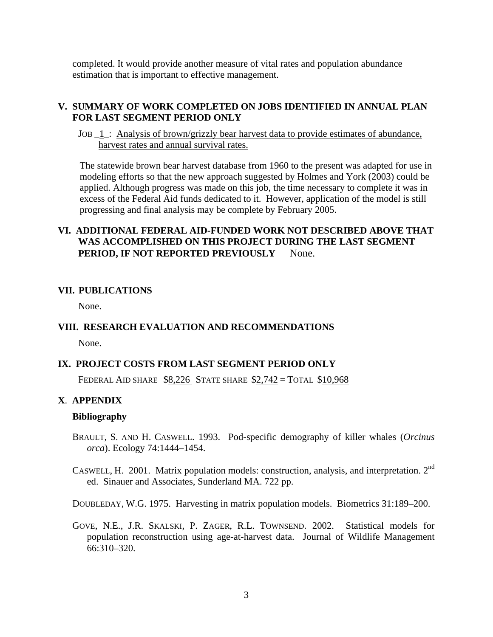completed. It would provide another measure of vital rates and population abundance estimation that is important to effective management.

### **V. SUMMARY OF WORK COMPLETED ON JOBS IDENTIFIED IN ANNUAL PLAN FOR LAST SEGMENT PERIOD ONLY**

JOB \_1\_: Analysis of brown/grizzly bear harvest data to provide estimates of abundance, harvest rates and annual survival rates.

The statewide brown bear harvest database from 1960 to the present was adapted for use in modeling efforts so that the new approach suggested by Holmes and York (2003) could be applied. Although progress was made on this job, the time necessary to complete it was in excess of the Federal Aid funds dedicated to it. However, application of the model is still progressing and final analysis may be complete by February 2005.

# **VI. ADDITIONAL FEDERAL AID-FUNDED WORK NOT DESCRIBED ABOVE THAT WAS ACCOMPLISHED ON THIS PROJECT DURING THE LAST SEGMENT PERIOD, IF NOT REPORTED PREVIOUSLY** None.

#### **VII. PUBLICATIONS**

None.

## **VIII. RESEARCH EVALUATION AND RECOMMENDATIONS**

None.

#### **IX. PROJECT COSTS FROM LAST SEGMENT PERIOD ONLY**

FEDERAL AID SHARE \$8,226 STATE SHARE \$2,742 = TOTAL \$10,968

# **X**. **APPENDIX**

#### **Bibliography**

- BRAULT, S. AND H. CASWELL. 1993. Pod-specific demography of killer whales (*Orcinus orca*). Ecology 74:1444–1454.
- CASWELL, H. 2001. Matrix population models: construction, analysis, and interpretation. 2nd ed. Sinauer and Associates, Sunderland MA. 722 pp.

DOUBLEDAY, W.G. 1975. Harvesting in matrix population models. Biometrics 31:189–200.

GOVE, N.E., J.R. SKALSKI, P. ZAGER, R.L. TOWNSEND. 2002. Statistical models for population reconstruction using age-at-harvest data. Journal of Wildlife Management 66:310–320.